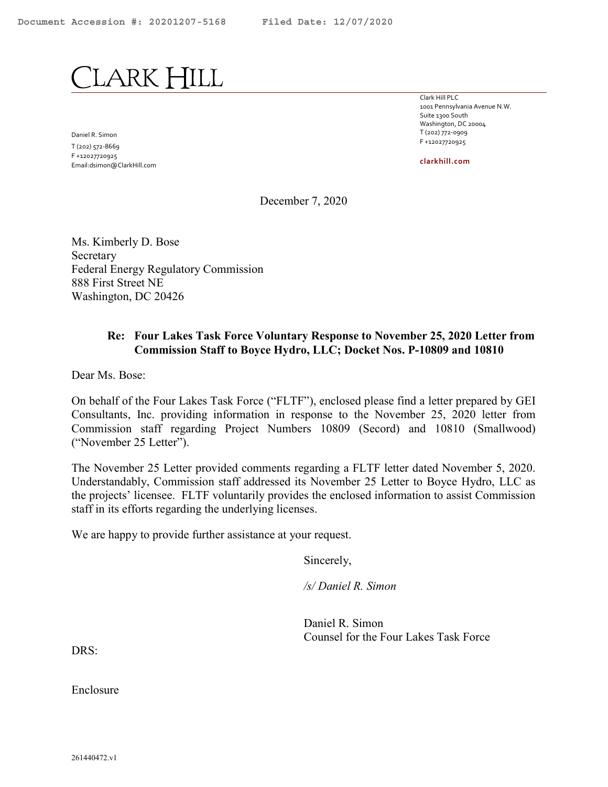<span id="page-0-0"></span>LARK HILL

Daniel R. Simon T (202) 572-8669 F +12027720925 Email:dsimon@ClarkHill.com Clark Hill PLC 1001 Pennsylvania Avenue N.W. Suite 1300 South Washington, DC 20004 T (202) 772-0909 F +12027720925

clarkhill.com

December 7, 2020

Ms. Kimberly D. Bose Secretary Federal Energy Regulatory Commission 888 First Street NE Washington, DC 20426

#### Re: Four Lakes Task Force Voluntary Response to November 25, 2020 Letter from Commission Staff to Boyce Hydro, LLC; Docket Nos. P-10809 and 10810

Dear Ms. Bose:

On behalf of the Four Lakes Task Force ("FLTF"), enclosed please find a letter prepared by GEI Consultants, Inc. providing information in response to the November 25, 2020 letter from Commission staff regarding Project Numbers 10809 (Secord) and 10810 (Smallwood) ("November 25 Letter").

The November 25 Letter provided comments regarding a FLTF letter dated November 5, 2020. Understandably, Commission staff addressed its November 25 Letter to Boyce Hydro, LLC as the projects' licensee. FLTF voluntarily provides the enclosed information to assist Commission staff in its efforts regarding the underlying licenses.

We are happy to provide further assistance at your request.

Sincerely,

/s/ Daniel R. Simon

Daniel R. Simon Counsel for the Four Lakes Task Force

DRS:

Enclosure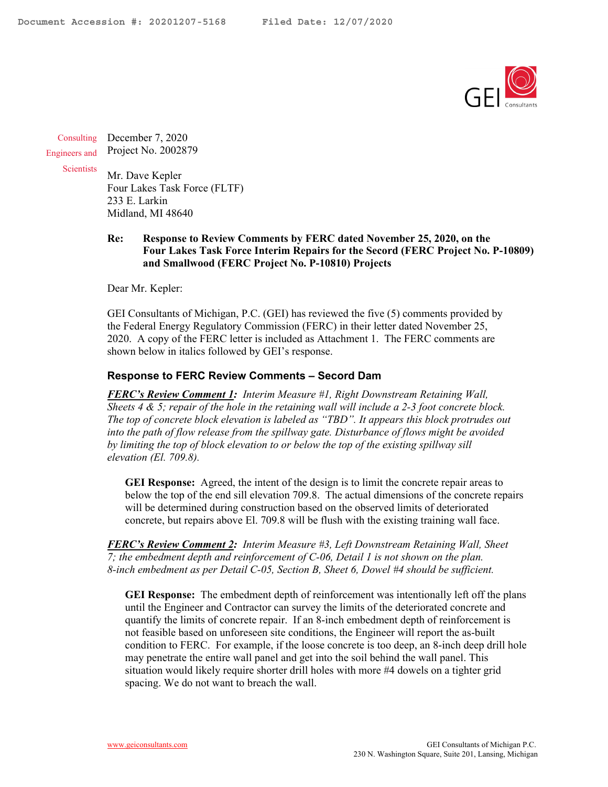

**Consulting** Engineers and December 7, 2020 Project No. 2002879

**Scientists** 

Mr. Dave Kepler Four Lakes Task Force (FLTF) 233 E. Larkin Midland, MI 48640

**Re: Response to Review Comments by FERC dated November 25, 2020, on the Four Lakes Task Force Interim Repairs for the Secord (FERC Project No. P-10809) and Smallwood (FERC Project No. P-10810) Projects** 

Dear Mr. Kepler:

GEI Consultants of Michigan, P.C. (GEI) has reviewed the five (5) comments provided by the Federal Energy Regulatory Commission (FERC) in their letter dated November 25, 2020. A copy of the FERC letter is included as Attachment 1. The FERC comments are shown below in italics followed by GEI's response.

#### **Response to FERC Review Comments – Secord Dam**

*FERC's Review Comment 1: Interim Measure #1, Right Downstream Retaining Wall, Sheets 4 & 5; repair of the hole in the retaining wall will include a 2-3 foot concrete block. The top of concrete block elevation is labeled as "TBD". It appears this block protrudes out into the path of flow release from the spillway gate. Disturbance of flows might be avoided by limiting the top of block elevation to or below the top of the existing spillway sill elevation (El. 709.8).* 

**GEI Response:** Agreed, the intent of the design is to limit the concrete repair areas to below the top of the end sill elevation 709.8. The actual dimensions of the concrete repairs will be determined during construction based on the observed limits of deteriorated concrete, but repairs above El. 709.8 will be flush with the existing training wall face.

*FERC's Review Comment 2: Interim Measure #3, Left Downstream Retaining Wall, Sheet 7; the embedment depth and reinforcement of C-06, Detail 1 is not shown on the plan. 8-inch embedment as per Detail C-05, Section B, Sheet 6, Dowel #4 should be sufficient.* 

**GEI Response:** The embedment depth of reinforcement was intentionally left off the plans until the Engineer and Contractor can survey the limits of the deteriorated concrete and quantify the limits of concrete repair. If an 8-inch embedment depth of reinforcement is not feasible based on unforeseen site conditions, the Engineer will report the as-built condition to FERC. For example, if the loose concrete is too deep, an 8-inch deep drill hole may penetrate the entire wall panel and get into the soil behind the wall panel. This situation would likely require shorter drill holes with more #4 dowels on a tighter grid spacing. We do not want to breach the wall.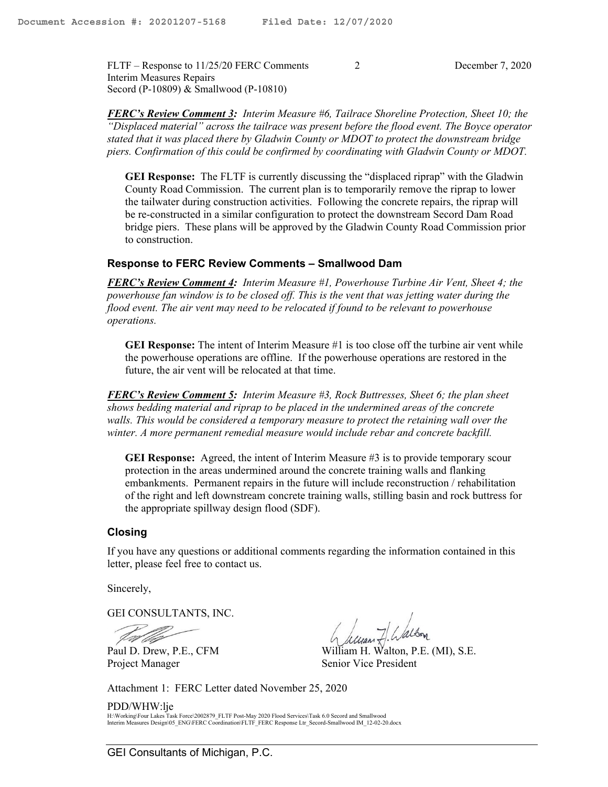FLTF – Response to 11/25/20 FERC Comments 2 December 7, 2020 Interim Measures Repairs Secord (P-10809) & Smallwood (P-10810)

*FERC's Review Comment 3: Interim Measure #6, Tailrace Shoreline Protection, Sheet 10; the "Displaced material" across the tailrace was present before the flood event. The Boyce operator stated that it was placed there by Gladwin County or MDOT to protect the downstream bridge piers. Confirmation of this could be confirmed by coordinating with Gladwin County or MDOT.* 

**GEI Response:** The FLTF is currently discussing the "displaced riprap" with the Gladwin County Road Commission. The current plan is to temporarily remove the riprap to lower the tailwater during construction activities. Following the concrete repairs, the riprap will be re-constructed in a similar configuration to protect the downstream Secord Dam Road bridge piers. These plans will be approved by the Gladwin County Road Commission prior to construction.

## **Response to FERC Review Comments – Smallwood Dam**

*FERC's Review Comment 4: Interim Measure #1, Powerhouse Turbine Air Vent, Sheet 4; the powerhouse fan window is to be closed off. This is the vent that was jetting water during the flood event. The air vent may need to be relocated if found to be relevant to powerhouse operations.* 

**GEI Response:** The intent of Interim Measure #1 is too close off the turbine air vent while the powerhouse operations are offline. If the powerhouse operations are restored in the future, the air vent will be relocated at that time.

*FERC's Review Comment 5: Interim Measure #3, Rock Buttresses, Sheet 6; the plan sheet shows bedding material and riprap to be placed in the undermined areas of the concrete*  walls. This would be considered a temporary measure to protect the retaining wall over the *winter. A more permanent remedial measure would include rebar and concrete backfill.* 

**GEI Response:** Agreed, the intent of Interim Measure #3 is to provide temporary scour protection in the areas undermined around the concrete training walls and flanking embankments. Permanent repairs in the future will include reconstruction / rehabilitation of the right and left downstream concrete training walls, stilling basin and rock buttress for the appropriate spillway design flood (SDF).

#### **Closing**

If you have any questions or additional comments regarding the information contained in this letter, please feel free to contact us.

Sincerely,

GEI CONSULTANTS, INC.

Project Manager Senior Vice President

Paul D. Drew, P.E., CFM William H. Walton, P.E. (MI), S.E.

Attachment 1: FERC Letter dated November 25, 2020

PDD/WHW:lje H:\Working\Four Lakes Task Force\2002879\_FLTF Post-May 2020 Flood Services\Task 6.0 Secord and Smallwood<br>Interim Measures Design\05\_ENG\FERC Coordination\FLTF\_FERC Response Ltr\_Secord-Smallwood IM\_12-02-20.docx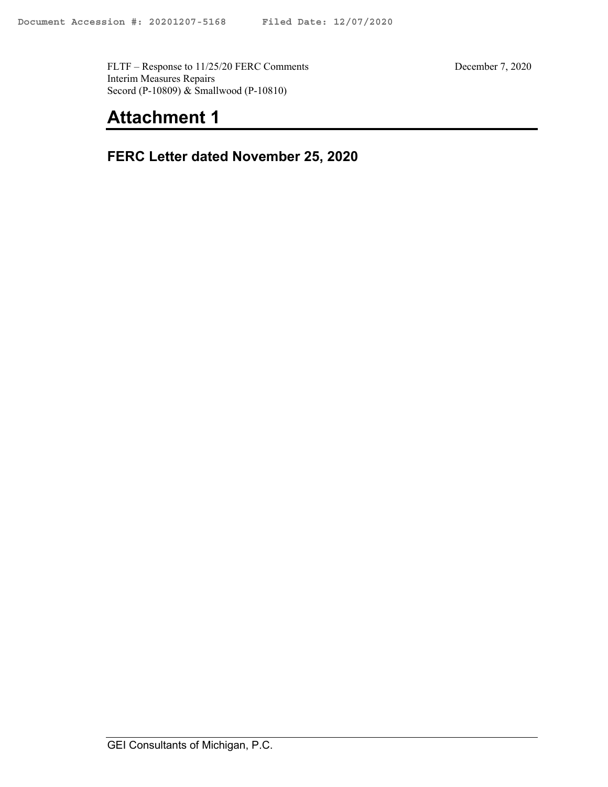FLTF – Response to 11/25/20 FERC Comments December 7, 2020 Interim Measures Repairs Secord (P-10809) & Smallwood (P-10810)

# **Attachment 1**

**FERC Letter dated November 25, 2020**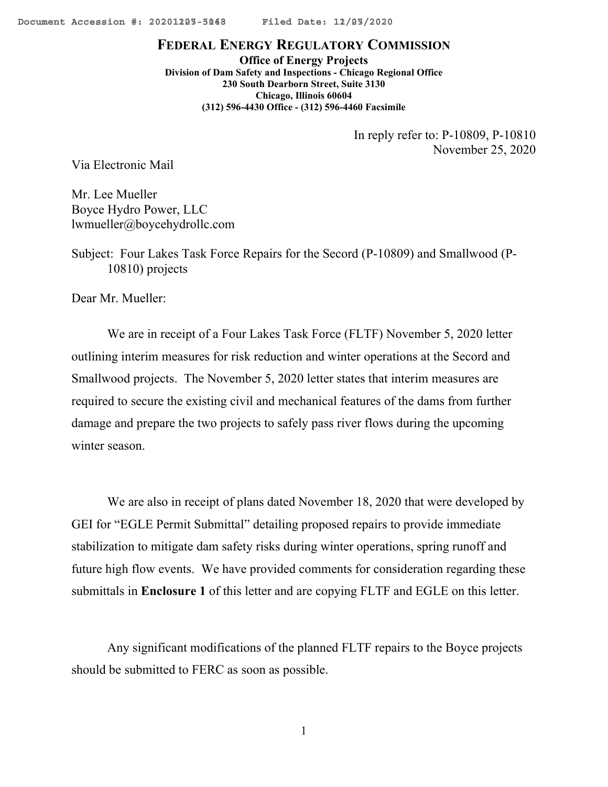<span id="page-4-0"></span>

# **FEDERAL ENERGY REGULATORY COMMISSION**

**Office of Energy Projects Division of Dam Safety and Inspections - Chicago Regional Office 230 South Dearborn Street, Suite 3130 Chicago, Illinois 60604 (312) 596-4430 Office - (312) 596-4460 Facsimile**

> In reply refer to: P-10809, P-10810 November 25, 2020

Via Electronic Mail

Mr. Lee Mueller Boyce Hydro Power, LLC lwmueller@boycehydrollc.com

Subject: Four Lakes Task Force Repairs for the Secord (P-10809) and Smallwood (P-10810) projects

Dear Mr. Mueller:

We are in receipt of a Four Lakes Task Force (FLTF) November 5, 2020 letter outlining interim measures for risk reduction and winter operations at the Secord and Smallwood projects. The November 5, 2020 letter states that interim measures are required to secure the existing civil and mechanical features of the dams from further damage and prepare the two projects to safely pass river flows during the upcoming winter season.

We are also in receipt of plans dated November 18, 2020 that were developed by GEI for "EGLE Permit Submittal" detailing proposed repairs to provide immediate stabilization to mitigate dam safety risks during winter operations, spring runoff and future high flow events. We have provided comments for consideration regarding these submittals in **Enclosure 1** of this letter and are copying FLTF and EGLE on this letter.

Any significant modifications of the planned FLTF repairs to the Boyce projects should be submitted to FERC as soon as possible.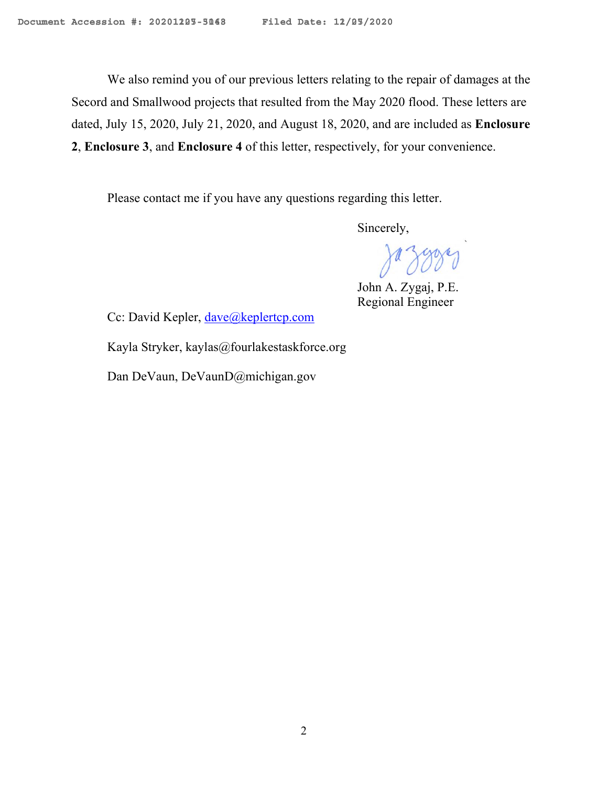We also remind you of our previous letters relating to the repair of damages at the Secord and Smallwood projects that resulted from the May 2020 flood. These letters are dated, July 15, 2020, July 21, 2020, and August 18, 2020, and are included as **Enclosure 2**, **Enclosure 3**, and **Enclosure 4** of this letter, respectively, for your convenience.

Please contact me if you have any questions regarding this letter.

Sincerely,

Jazzary

John A. Zygaj, P.E. Regional Engineer

Cc: David Kepler, [dave@keplertcp.com](mailto:dave@keplertcp.com)

Kayla Stryker, kaylas@fourlakestaskforce.org

Dan DeVaun, DeVaunD@michigan.gov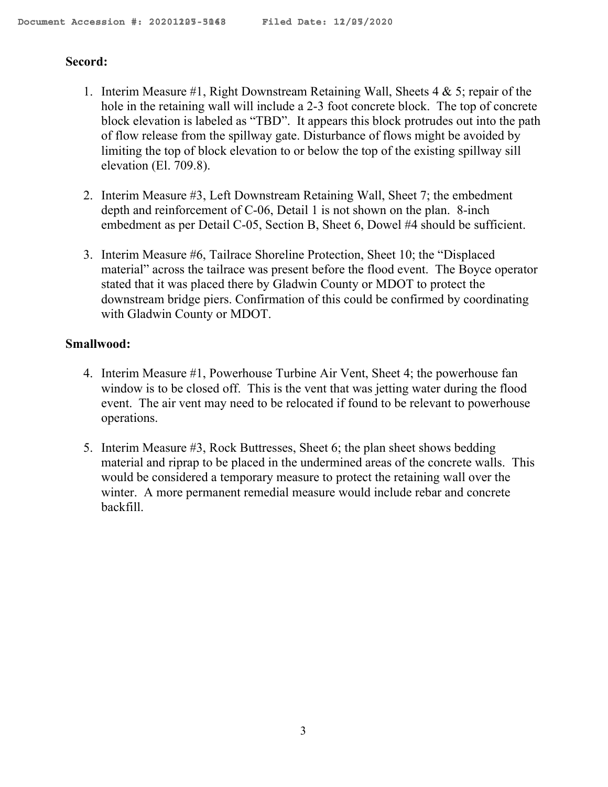# **Secord:**

- 1. Interim Measure #1, Right Downstream Retaining Wall, Sheets 4 & 5; repair of the hole in the retaining wall will include a 2-3 foot concrete block. The top of concrete block elevation is labeled as "TBD". It appears this block protrudes out into the path of flow release from the spillway gate. Disturbance of flows might be avoided by limiting the top of block elevation to or below the top of the existing spillway sill elevation (El. 709.8).
- 2. Interim Measure #3, Left Downstream Retaining Wall, Sheet 7; the embedment depth and reinforcement of C-06, Detail 1 is not shown on the plan. 8-inch embedment as per Detail C-05, Section B, Sheet 6, Dowel #4 should be sufficient.
- 3. Interim Measure #6, Tailrace Shoreline Protection, Sheet 10; the "Displaced material" across the tailrace was present before the flood event. The Boyce operator stated that it was placed there by Gladwin County or MDOT to protect the downstream bridge piers. Confirmation of this could be confirmed by coordinating with Gladwin County or MDOT.

# **Smallwood:**

- 4. Interim Measure #1, Powerhouse Turbine Air Vent, Sheet 4; the powerhouse fan window is to be closed off. This is the vent that was jetting water during the flood event. The air vent may need to be relocated if found to be relevant to powerhouse operations.
- 5. Interim Measure #3, Rock Buttresses, Sheet 6; the plan sheet shows bedding material and riprap to be placed in the undermined areas of the concrete walls. This would be considered a temporary measure to protect the retaining wall over the winter. A more permanent remedial measure would include rebar and concrete backfill.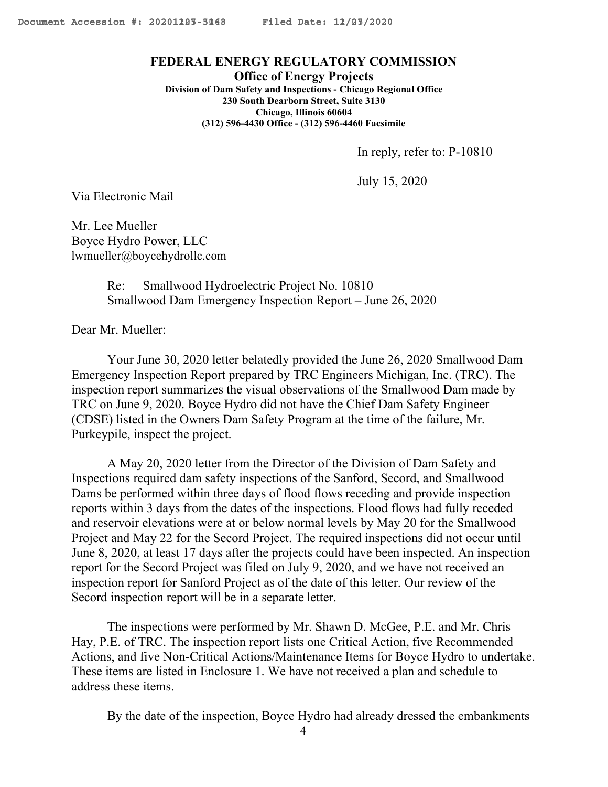#### **FEDERAL ENERGY REGULATORY COMMISSION**

**Office of Energy Projects Division of Dam Safety and Inspections - Chicago Regional Office 230 South Dearborn Street, Suite 3130 Chicago, Illinois 60604 (312) 596-4430 Office - (312) 596-4460 Facsimile**

In reply, refer to: P-10810

July 15, 2020

Via Electronic Mail

Mr. Lee Mueller Boyce Hydro Power, LLC [lwmueller@boycehydrollc.com](mailto:lwmueller@boycehydrollc.com)

> Re: Smallwood Hydroelectric Project No. 10810 Smallwood Dam Emergency Inspection Report – June 26, 2020

Dear Mr. Mueller:

Your June 30, 2020 letter belatedly provided the June 26, 2020 Smallwood Dam Emergency Inspection Report prepared by TRC Engineers Michigan, Inc. (TRC). The inspection report summarizes the visual observations of the Smallwood Dam made by TRC on June 9, 2020. Boyce Hydro did not have the Chief Dam Safety Engineer (CDSE) listed in the Owners Dam Safety Program at the time of the failure, Mr. Purkeypile, inspect the project.

A May 20, 2020 letter from the Director of the Division of Dam Safety and Inspections required dam safety inspections of the Sanford, Secord, and Smallwood Dams be performed within three days of flood flows receding and provide inspection reports within 3 days from the dates of the inspections. Flood flows had fully receded and reservoir elevations were at or below normal levels by May 20 for the Smallwood Project and May 22 for the Secord Project. The required inspections did not occur until June 8, 2020, at least 17 days after the projects could have been inspected. An inspection report for the Secord Project was filed on July 9, 2020, and we have not received an inspection report for Sanford Project as of the date of this letter. Our review of the Secord inspection report will be in a separate letter.

The inspections were performed by Mr. Shawn D. McGee, P.E. and Mr. Chris Hay, P.E. of TRC. The inspection report lists one Critical Action, five Recommended Actions, and five Non-Critical Actions/Maintenance Items for Boyce Hydro to undertake. These items are listed in Enclosure 1. We have not received a plan and schedule to address these items.

By the date of the inspection, Boyce Hydro had already dressed the embankments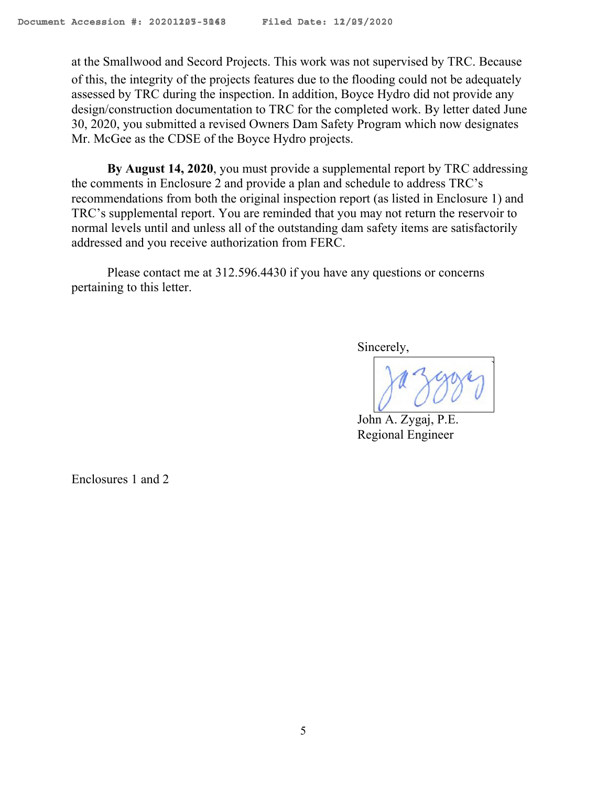at the Smallwood and Secord Projects. This work was not supervised by TRC. Because of this, the integrity of the projects features due to the flooding could not be adequately assessed by TRC during the inspection. In addition, Boyce Hydro did not provide any design/construction documentation to TRC for the completed work. By letter dated June 30, 2020, you submitted a revised Owners Dam Safety Program which now designates Mr. McGee as the CDSE of the Boyce Hydro projects.

**By August 14, 2020**, you must provide a supplemental report by TRC addressing the comments in Enclosure 2 and provide a plan and schedule to address TRC's recommendations from both the original inspection report (as listed in Enclosure 1) and TRC's supplemental report. You are reminded that you may not return the reservoir to normal levels until and unless all of the outstanding dam safety items are satisfactorily addressed and you receive authorization from FERC.

Please contact me at 312.596.4430 if you have any questions or concerns pertaining to this letter.

Sincerely,

John A. Zygaj, P.E. Regional Engineer

Enclosures 1 and 2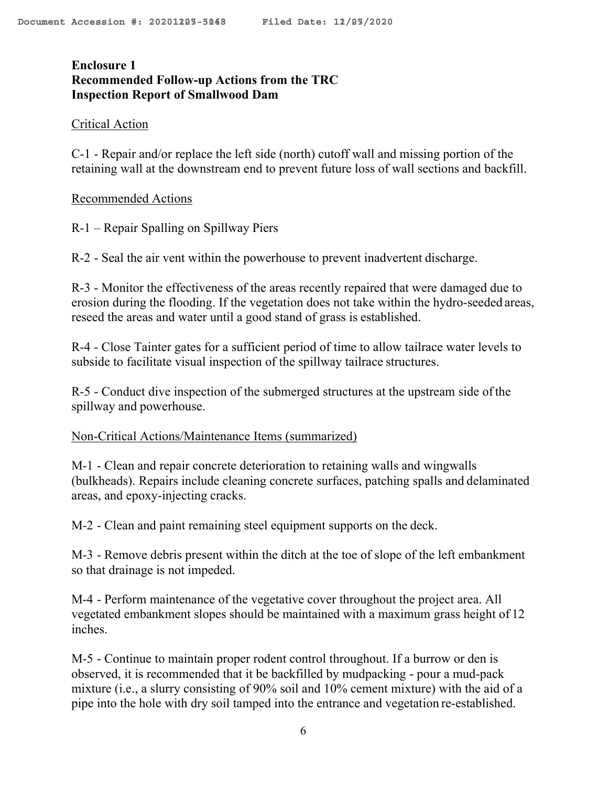# **Enclosure 1 Recommended Follow-up Actions from the TRC Inspection Report of Smallwood Dam**

# Critical Action

C-1 - Repair and/or replace the left side (north) cutoff wall and missing portion of the retaining wall at the downstream end to prevent future loss of wall sections and backfill.

## Recommended Actions

R-1 – Repair Spalling on Spillway Piers

R-2 - Seal the air vent within the powerhouse to prevent inadvertent discharge.

R-3 - Monitor the effectiveness of the areas recently repaired that were damaged due to erosion during the flooding. If the vegetation does not take within the hydro-seeded areas, reseed the areas and water until a good stand of grass is established.

R-4 - Close Tainter gates for a sufficient period of time to allow tailrace water levels to subside to facilitate visual inspection of the spillway tailrace structures.

R-5 - Conduct dive inspection of the submerged structures at the upstream side of the spillway and powerhouse.

#### Non-Critical Actions/Maintenance Items (summarized)

M-1 - Clean and repair concrete deterioration to retaining walls and wingwalls (bulkheads). Repairs include cleaning concrete surfaces, patching spalls and delaminated areas, and epoxy-injecting cracks.

M-2 - Clean and paint remaining steel equipment supports on the deck.

M-3 - Remove debris present within the ditch at the toe of slope of the left embankment so that drainage is not impeded.

M-4 - Perform maintenance of the vegetative cover throughout the project area. All vegetated embankment slopes should be maintained with a maximum grass height of 12 inches.

M-5 - Continue to maintain proper rodent control throughout. If a burrow or den is observed, it is recommended that it be backfilled by mudpacking - pour a mud-pack mixture (i.e., a slurry consisting of 90% soil and 10% cement mixture) with the aid of a pipe into the hole with dry soil tamped into the entrance and vegetation re-established.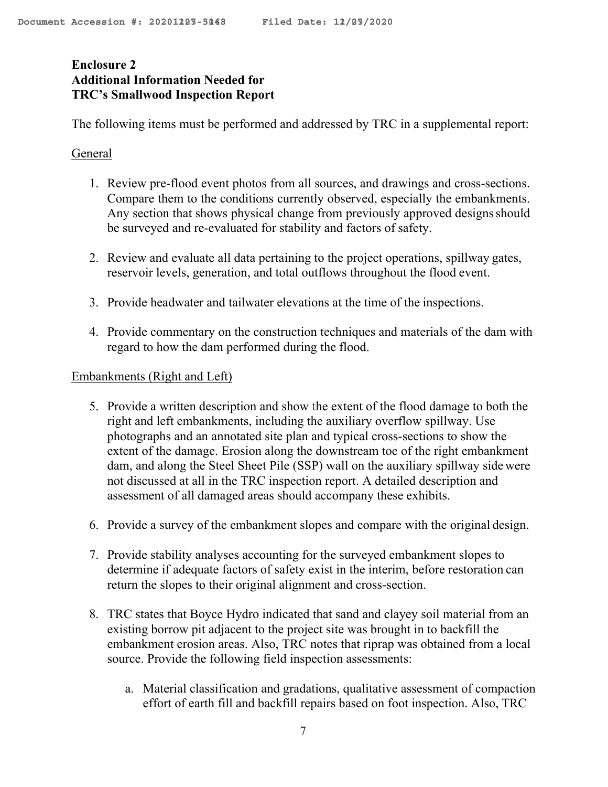# **Enclosure 2 Additional Information Needed for TRC's Smallwood Inspection Report**

The following items must be performed and addressed by TRC in a supplemental report:

# General

- 1. Review pre-flood event photos from all sources, and drawings and cross-sections. Compare them to the conditions currently observed, especially the embankments. Any section that shows physical change from previously approved designs should be surveyed and re-evaluated for stability and factors of safety.
- 2. Review and evaluate all data pertaining to the project operations, spillway gates, reservoir levels, generation, and total outflows throughout the flood event.
- 3. Provide headwater and tailwater elevations at the time of the inspections.
- 4. Provide commentary on the construction techniques and materials of the dam with regard to how the dam performed during the flood.

# Embankments (Right and Left)

- 5. Provide a written description and show the extent of the flood damage to both the right and left embankments, including the auxiliary overflow spillway. Use photographs and an annotated site plan and typical cross-sections to show the extent of the damage. Erosion along the downstream toe of the right embankment dam, and along the Steel Sheet Pile (SSP) wall on the auxiliary spillway side were not discussed at all in the TRC inspection report. A detailed description and assessment of all damaged areas should accompany these exhibits.
- 6. Provide a survey of the embankment slopes and compare with the original design.
- 7. Provide stability analyses accounting for the surveyed embankment slopes to determine if adequate factors of safety exist in the interim, before restoration can return the slopes to their original alignment and cross-section.
- 8. TRC states that Boyce Hydro indicated that sand and clayey soil material from an existing borrow pit adjacent to the project site was brought in to backfill the embankment erosion areas. Also, TRC notes that riprap was obtained from a local source. Provide the following field inspection assessments:
	- a. Material classification and gradations, qualitative assessment of compaction effort of earth fill and backfill repairs based on foot inspection. Also, TRC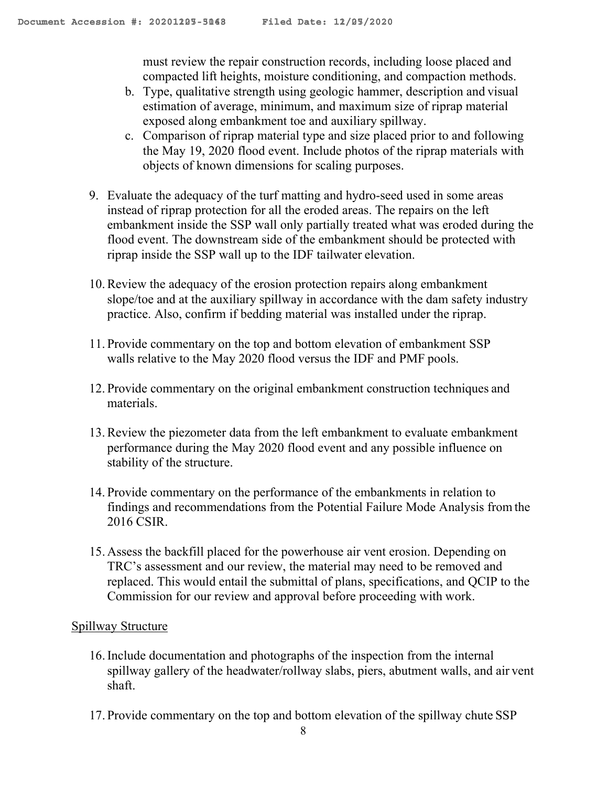must review the repair construction records, including loose placed and compacted lift heights, moisture conditioning, and compaction methods.

- b. Type, qualitative strength using geologic hammer, description and visual estimation of average, minimum, and maximum size of riprap material exposed along embankment toe and auxiliary spillway.
- c. Comparison of riprap material type and size placed prior to and following the May 19, 2020 flood event. Include photos of the riprap materials with objects of known dimensions for scaling purposes.
- 9. Evaluate the adequacy of the turf matting and hydro-seed used in some areas instead of riprap protection for all the eroded areas. The repairs on the left embankment inside the SSP wall only partially treated what was eroded during the flood event. The downstream side of the embankment should be protected with riprap inside the SSP wall up to the IDF tailwater elevation.
- 10.Review the adequacy of the erosion protection repairs along embankment slope/toe and at the auxiliary spillway in accordance with the dam safety industry practice. Also, confirm if bedding material was installed under the riprap.
- 11. Provide commentary on the top and bottom elevation of embankment SSP walls relative to the May 2020 flood versus the IDF and PMF pools.
- 12. Provide commentary on the original embankment construction techniques and materials.
- 13.Review the piezometer data from the left embankment to evaluate embankment performance during the May 2020 flood event and any possible influence on stability of the structure.
- 14. Provide commentary on the performance of the embankments in relation to findings and recommendations from the Potential Failure Mode Analysis from the 2016 CSIR.
- 15. Assess the backfill placed for the powerhouse air vent erosion. Depending on TRC's assessment and our review, the material may need to be removed and replaced. This would entail the submittal of plans, specifications, and QCIP to the Commission for our review and approval before proceeding with work.

# Spillway Structure

- 16.Include documentation and photographs of the inspection from the internal spillway gallery of the headwater/rollway slabs, piers, abutment walls, and air vent shaft.
- 17. Provide commentary on the top and bottom elevation of the spillway chute SSP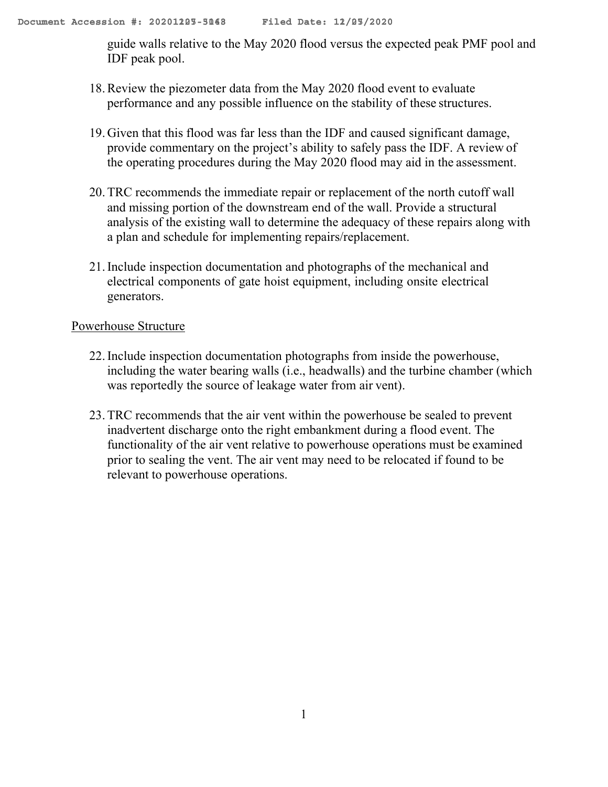guide walls relative to the May 2020 flood versus the expected peak PMF pool and IDF peak pool.

- 18.Review the piezometer data from the May 2020 flood event to evaluate performance and any possible influence on the stability of these structures.
- 19. Given that this flood was far less than the IDF and caused significant damage, provide commentary on the project's ability to safely pass the IDF. A review of the operating procedures during the May 2020 flood may aid in the assessment.
- 20.TRC recommends the immediate repair or replacement of the north cutoff wall and missing portion of the downstream end of the wall. Provide a structural analysis of the existing wall to determine the adequacy of these repairs along with a plan and schedule for implementing repairs/replacement.
- 21.Include inspection documentation and photographs of the mechanical and electrical components of gate hoist equipment, including onsite electrical generators.

# Powerhouse Structure

- 22.Include inspection documentation photographs from inside the powerhouse, including the water bearing walls (i.e., headwalls) and the turbine chamber (which was reportedly the source of leakage water from air vent).
- 23.TRC recommends that the air vent within the powerhouse be sealed to prevent inadvertent discharge onto the right embankment during a flood event. The functionality of the air vent relative to powerhouse operations must be examined prior to sealing the vent. The air vent may need to be relocated if found to be relevant to powerhouse operations.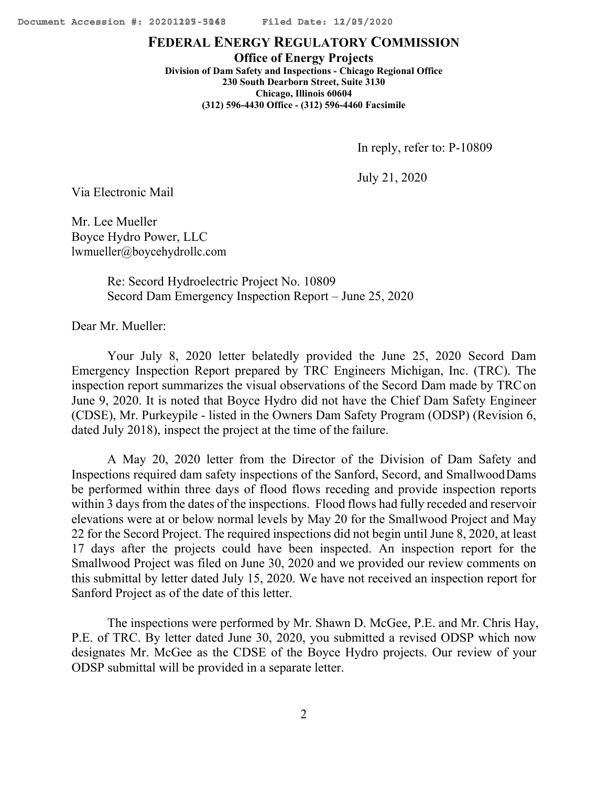## **FEDERAL ENERGY REGULATORY COMMISSION**

**Office of Energy Projects Division of Dam Safety and Inspections - Chicago Regional Office 230 South Dearborn Street, Suite 3130 Chicago, Illinois 60604 (312) 596-4430 Office - (312) 596-4460 Facsimile**

In reply, refer to: P-10809

July 21, 2020

Via Electronic Mail

Mr. Lee Mueller Boyce Hydro Power, LLC [lwmueller@boycehydrollc.com](mailto:lwmueller@boycehydrollc.com)

> Re: Secord Hydroelectric Project No. 10809 Secord Dam Emergency Inspection Report – June 25, 2020

Dear Mr. Mueller:

Your July 8, 2020 letter belatedly provided the June 25, 2020 Secord Dam Emergency Inspection Report prepared by TRC Engineers Michigan, Inc. (TRC). The inspection report summarizes the visual observations of the Secord Dam made by TRCon June 9, 2020. It is noted that Boyce Hydro did not have the Chief Dam Safety Engineer (CDSE), Mr. Purkeypile - listed in the Owners Dam Safety Program (ODSP) (Revision 6, dated July 2018), inspect the project at the time of the failure.

A May 20, 2020 letter from the Director of the Division of Dam Safety and Inspections required dam safety inspections of the Sanford, Secord, and SmallwoodDams be performed within three days of flood flows receding and provide inspection reports within 3 days from the dates of the inspections. Flood flows had fully receded and reservoir elevations were at or below normal levels by May 20 for the Smallwood Project and May 22 for the Secord Project. The required inspections did not begin until June 8, 2020, at least 17 days after the projects could have been inspected. An inspection report for the Smallwood Project was filed on June 30, 2020 and we provided our review comments on this submittal by letter dated July 15, 2020. We have not received an inspection report for Sanford Project as of the date of this letter.

The inspections were performed by Mr. Shawn D. McGee, P.E. and Mr. Chris Hay, P.E. of TRC. By letter dated June 30, 2020, you submitted a revised ODSP which now designates Mr. McGee as the CDSE of the Boyce Hydro projects. Our review of your ODSP submittal will be provided in a separate letter.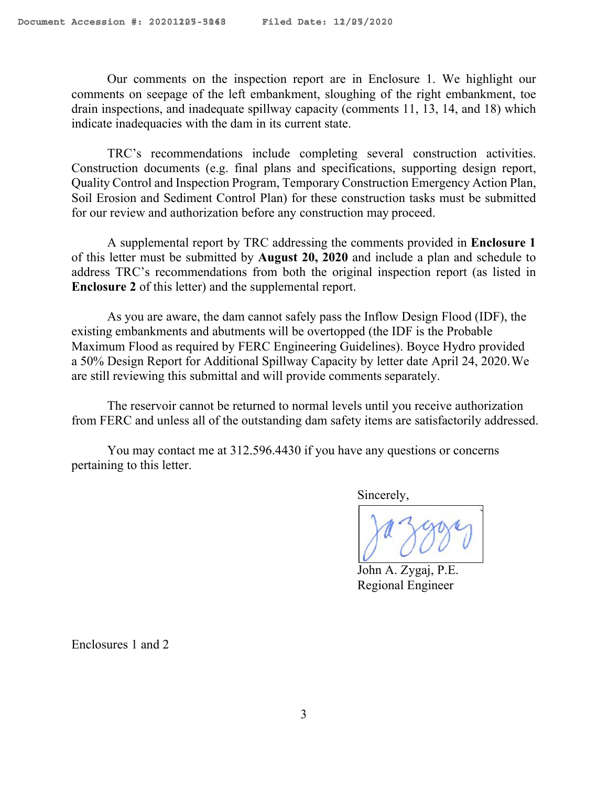Our comments on the inspection report are in Enclosure 1. We highlight our comments on seepage of the left embankment, sloughing of the right embankment, toe drain inspections, and inadequate spillway capacity (comments 11, 13, 14, and 18) which indicate inadequacies with the dam in its current state.

TRC's recommendations include completing several construction activities. Construction documents (e.g. final plans and specifications, supporting design report, Quality Control and Inspection Program, Temporary Construction Emergency Action Plan, Soil Erosion and Sediment Control Plan) for these construction tasks must be submitted for our review and authorization before any construction may proceed.

A supplemental report by TRC addressing the comments provided in **Enclosure 1**  of this letter must be submitted by **August 20, 2020** and include a plan and schedule to address TRC's recommendations from both the original inspection report (as listed in **Enclosure 2** of this letter) and the supplemental report.

As you are aware, the dam cannot safely pass the Inflow Design Flood (IDF), the existing embankments and abutments will be overtopped (the IDF is the Probable Maximum Flood as required by FERC Engineering Guidelines). Boyce Hydro provided a 50% Design Report for Additional Spillway Capacity by letter date April 24, 2020.We are still reviewing this submittal and will provide comments separately.

The reservoir cannot be returned to normal levels until you receive authorization from FERC and unless all of the outstanding dam safety items are satisfactorily addressed.

You may contact me at 312.596.4430 if you have any questions or concerns pertaining to this letter.

Sincerely,

John A. Zygaj, P.E. Regional Engineer

Enclosures 1 and 2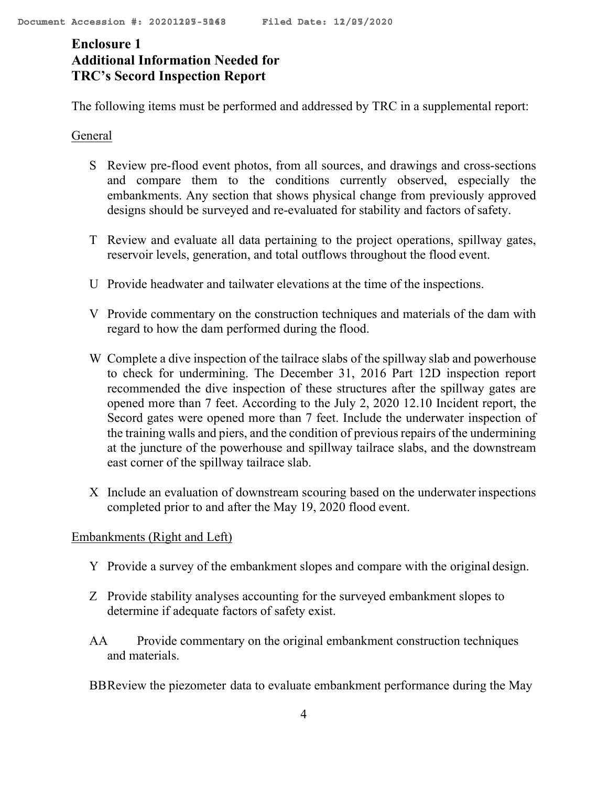# **Enclosure 1 Additional Information Needed for TRC's Secord Inspection Report**

The following items must be performed and addressed by TRC in a supplemental report:

# General

- S Review pre-flood event photos, from all sources, and drawings and cross-sections and compare them to the conditions currently observed, especially the embankments. Any section that shows physical change from previously approved designs should be surveyed and re-evaluated for stability and factors of safety.
- T Review and evaluate all data pertaining to the project operations, spillway gates, reservoir levels, generation, and total outflows throughout the flood event.
- U Provide headwater and tailwater elevations at the time of the inspections.
- V Provide commentary on the construction techniques and materials of the dam with regard to how the dam performed during the flood.
- W Complete a dive inspection of the tailrace slabs of the spillway slab and powerhouse to check for undermining. The December 31, 2016 Part 12D inspection report recommended the dive inspection of these structures after the spillway gates are opened more than 7 feet. According to the July 2, 2020 12.10 Incident report, the Secord gates were opened more than 7 feet. Include the underwater inspection of the training walls and piers, and the condition of previous repairs of the undermining at the juncture of the powerhouse and spillway tailrace slabs, and the downstream east corner of the spillway tailrace slab.
- X Include an evaluation of downstream scouring based on the underwater inspections completed prior to and after the May 19, 2020 flood event.

# Embankments (Right and Left)

- Y Provide a survey of the embankment slopes and compare with the original design.
- Z Provide stability analyses accounting for the surveyed embankment slopes to determine if adequate factors of safety exist.
- AA Provide commentary on the original embankment construction techniques and materials.
- BBReview the piezometer data to evaluate embankment performance during the May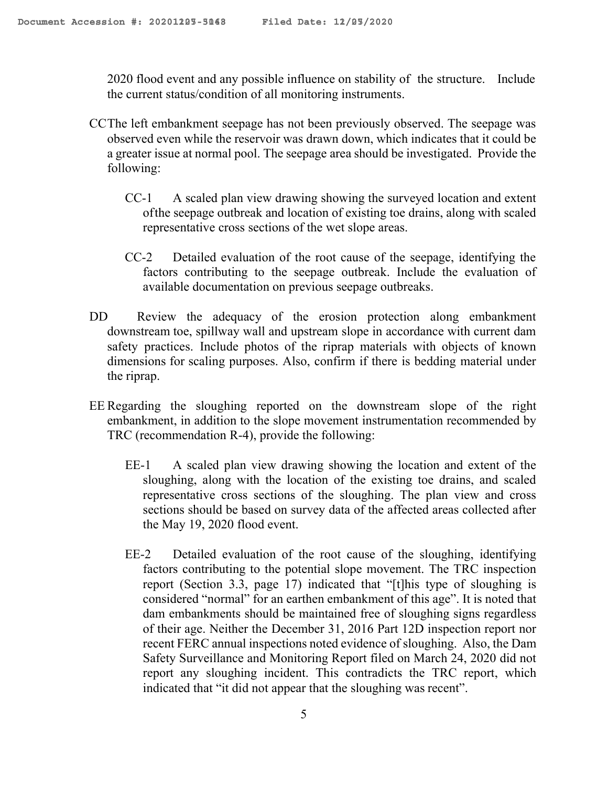2020 flood event and any possible influence on stability of the structure. Include the current status/condition of all monitoring instruments.

- CCThe left embankment seepage has not been previously observed. The seepage was observed even while the reservoir was drawn down, which indicates that it could be a greater issue at normal pool. The seepage area should be investigated. Provide the following:
	- CC-1 A scaled plan view drawing showing the surveyed location and extent of the seepage outbreak and location of existing toe drains, along with scaled representative cross sections of the wet slope areas.
	- CC-2 Detailed evaluation of the root cause of the seepage, identifying the factors contributing to the seepage outbreak. Include the evaluation of available documentation on previous seepage outbreaks.
- DD Review the adequacy of the erosion protection along embankment downstream toe, spillway wall and upstream slope in accordance with current dam safety practices. Include photos of the riprap materials with objects of known dimensions for scaling purposes. Also, confirm if there is bedding material under the riprap.
- EE Regarding the sloughing reported on the downstream slope of the right embankment, in addition to the slope movement instrumentation recommended by TRC (recommendation R-4), provide the following:
	- EE-1 A scaled plan view drawing showing the location and extent of the sloughing, along with the location of the existing toe drains, and scaled representative cross sections of the sloughing. The plan view and cross sections should be based on survey data of the affected areas collected after the May 19, 2020 flood event.
	- EE-2 Detailed evaluation of the root cause of the sloughing, identifying factors contributing to the potential slope movement. The TRC inspection report (Section 3.3, page 17) indicated that "[t]his type of sloughing is considered "normal" for an earthen embankment of this age". It is noted that dam embankments should be maintained free of sloughing signs regardless of their age. Neither the December 31, 2016 Part 12D inspection report nor recent FERC annual inspections noted evidence of sloughing. Also, the Dam Safety Surveillance and Monitoring Report filed on March 24, 2020 did not report any sloughing incident. This contradicts the TRC report, which indicated that "it did not appear that the sloughing was recent".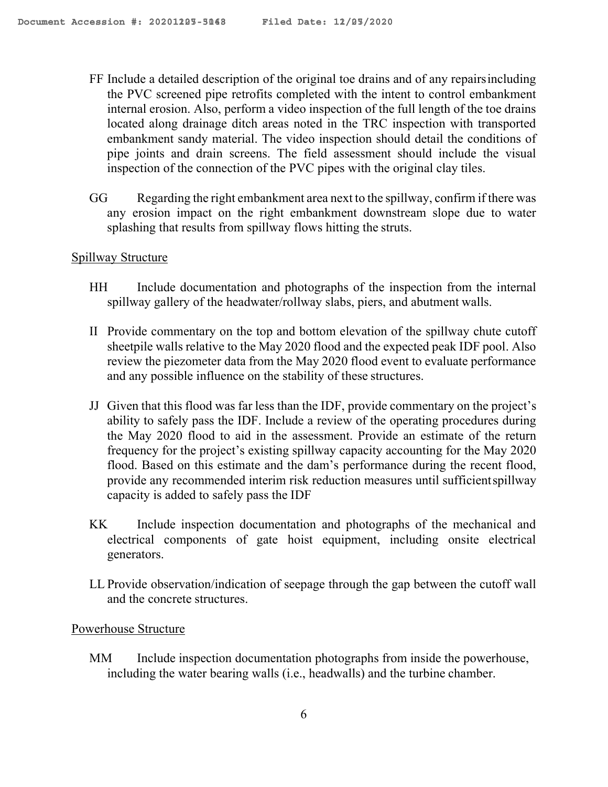- FF Include a detailed description of the original toe drains and of any repairsincluding the PVC screened pipe retrofits completed with the intent to control embankment internal erosion. Also, perform a video inspection of the full length of the toe drains located along drainage ditch areas noted in the TRC inspection with transported embankment sandy material. The video inspection should detail the conditions of pipe joints and drain screens. The field assessment should include the visual inspection of the connection of the PVC pipes with the original clay tiles.
- GG Regarding the right embankment area next to the spillway, confirm if there was any erosion impact on the right embankment downstream slope due to water splashing that results from spillway flows hitting the struts.

# Spillway Structure

- HH Include documentation and photographs of the inspection from the internal spillway gallery of the headwater/rollway slabs, piers, and abutment walls.
- II Provide commentary on the top and bottom elevation of the spillway chute cutoff sheetpile walls relative to the May 2020 flood and the expected peak IDF pool. Also review the piezometer data from the May 2020 flood event to evaluate performance and any possible influence on the stability of these structures.
- JJ Given that this flood was far less than the IDF, provide commentary on the project's ability to safely pass the IDF. Include a review of the operating procedures during the May 2020 flood to aid in the assessment. Provide an estimate of the return frequency for the project's existing spillway capacity accounting for the May 2020 flood. Based on this estimate and the dam's performance during the recent flood, provide any recommended interim risk reduction measures until sufficientspillway capacity is added to safely pass the IDF
- KK Include inspection documentation and photographs of the mechanical and electrical components of gate hoist equipment, including onsite electrical generators.
- LL Provide observation/indication of seepage through the gap between the cutoff wall and the concrete structures.

#### Powerhouse Structure

MM Include inspection documentation photographs from inside the powerhouse, including the water bearing walls (i.e., headwalls) and the turbine chamber.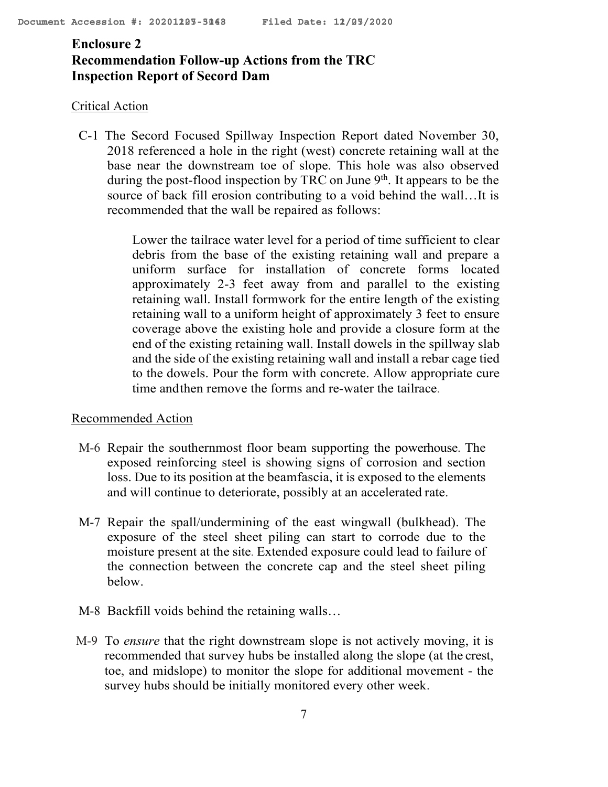# **Enclosure 2 Recommendation Follow-up Actions from the TRC Inspection Report of Secord Dam**

## Critical Action

C-1 The Secord Focused Spillway Inspection Report dated November 30, 2018 referenced a hole in the right (west) concrete retaining wall at the base near the downstream toe of slope. This hole was also observed during the post-flood inspection by TRC on June  $9<sup>th</sup>$ . It appears to be the source of back fill erosion contributing to a void behind the wall…It is recommended that the wall be repaired as follows:

> Lower the tailrace water level for a period of time sufficient to clear debris from the base of the existing retaining wall and prepare a uniform surface for installation of concrete forms located approximately 2-3 feet away from and parallel to the existing retaining wall. Install formwork for the entire length of the existing retaining wall to a uniform height of approximately 3 feet to ensure coverage above the existing hole and provide a closure form at the end of the existing retaining wall. Install dowels in the spillway slab and the side of the existing retaining wall and install a rebar cage tied to the dowels. Pour the form with concrete. Allow appropriate cure time andthen remove the forms and re-water the tailrace.

#### Recommended Action

- M-6 Repair the southernmost floor beam supporting the powerhouse. The exposed reinforcing steel is showing signs of corrosion and section loss. Due to its position at the beamfascia, it is exposed to the elements and will continue to deteriorate, possibly at an accelerated rate.
- M-7 Repair the spall/undermining of the east wingwall (bulkhead). The exposure of the steel sheet piling can start to corrode due to the moisture present at the site. Extended exposure could lead to failure of the connection between the concrete cap and the steel sheet piling below.
- M-8 Backfill voids behind the retaining walls…
- M-9 To *ensure* that the right downstream slope is not actively moving, it is recommended that survey hubs be installed along the slope (at the crest, toe, and midslope) to monitor the slope for additional movement - the survey hubs should be initially monitored every other week.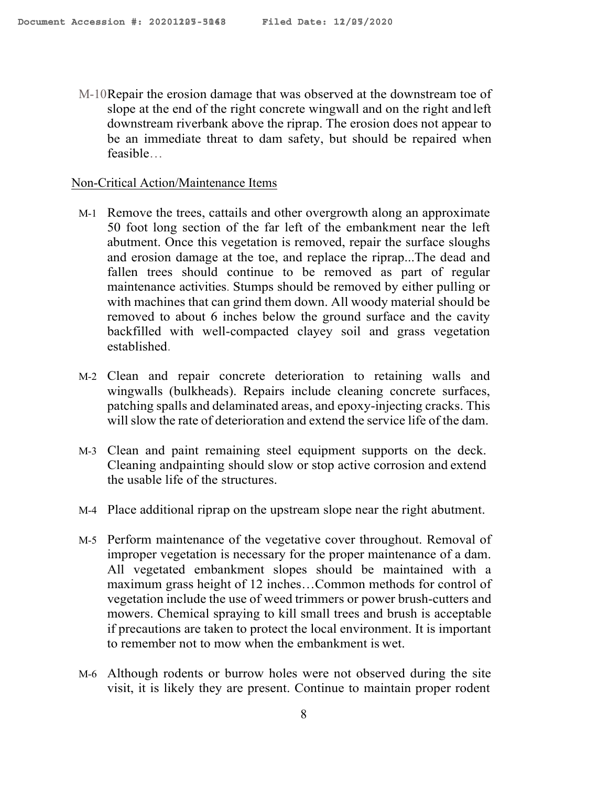M-10Repair the erosion damage that was observed at the downstream toe of slope at the end of the right concrete wingwall and on the right and left downstream riverbank above the riprap. The erosion does not appear to be an immediate threat to dam safety, but should be repaired when feasible…

#### Non-Critical Action/Maintenance Items

- M-1 Remove the trees, cattails and other overgrowth along an approximate 50 foot long section of the far left of the embankment near the left abutment. Once this vegetation is removed, repair the surface sloughs and erosion damage at the toe, and replace the riprap...The dead and fallen trees should continue to be removed as part of regular maintenance activities. Stumps should be removed by either pulling or with machines that can grind them down. All woody material should be removed to about 6 inches below the ground surface and the cavity backfilled with well-compacted clayey soil and grass vegetation established.
- M-2 Clean and repair concrete deterioration to retaining walls and wingwalls (bulkheads). Repairs include cleaning concrete surfaces, patching spalls and delaminated areas, and epoxy-injecting cracks. This willslow the rate of deterioration and extend the service life of the dam.
- M-3 Clean and paint remaining steel equipment supports on the deck. Cleaning andpainting should slow or stop active corrosion and extend the usable life of the structures.
- M-4 Place additional riprap on the upstream slope near the right abutment.
- M-5 Perform maintenance of the vegetative cover throughout. Removal of improper vegetation is necessary for the proper maintenance of a dam. All vegetated embankment slopes should be maintained with a maximum grass height of 12 inches…Common methods for control of vegetation include the use of weed trimmers or power brush-cutters and mowers. Chemical spraying to kill small trees and brush is acceptable if precautions are taken to protect the local environment. It is important to remember not to mow when the embankment is wet.
- M-6 Although rodents or burrow holes were not observed during the site visit, it is likely they are present. Continue to maintain proper rodent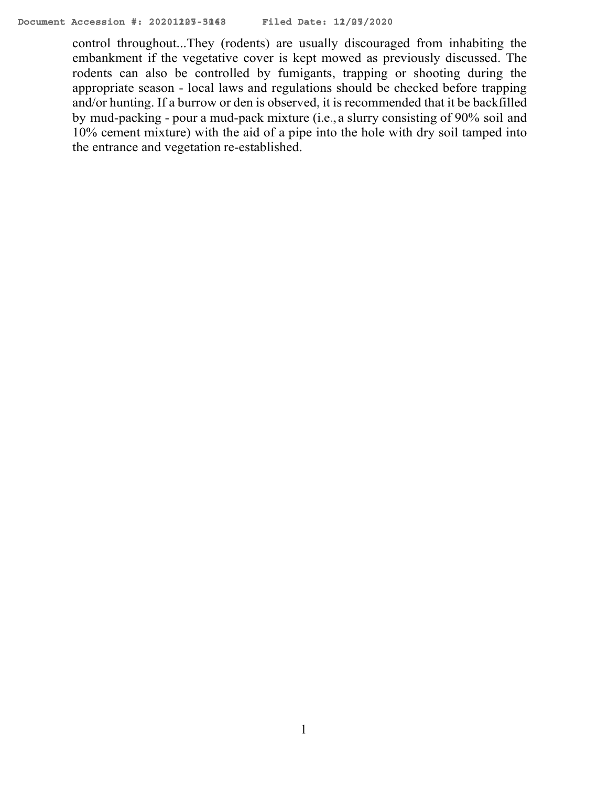control throughout...They (rodents) are usually discouraged from inhabiting the embankment if the vegetative cover is kept mowed as previously discussed. The rodents can also be controlled by fumigants, trapping or shooting during the appropriate season - local laws and regulations should be checked before trapping and/or hunting. If a burrow or den is observed, it is recommended that it be backfilled by mud-packing - pour a mud-pack mixture (i.e., a slurry consisting of 90% soil and 10% cement mixture) with the aid of a pipe into the hole with dry soil tamped into the entrance and vegetation re-established.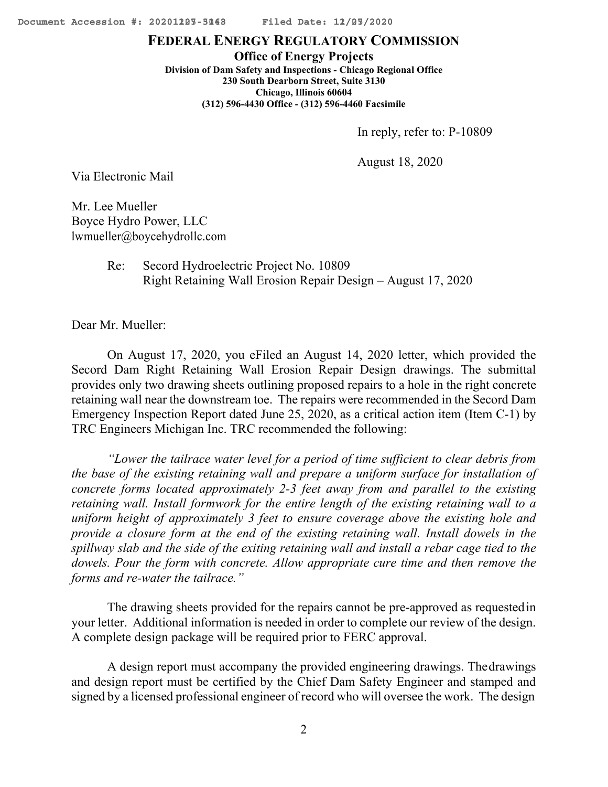#### **FEDERAL ENERGY REGULATORY COMMISSION**

**Office of Energy Projects Division of Dam Safety and Inspections - Chicago Regional Office 230 South Dearborn Street, Suite 3130 Chicago, Illinois 60604 (312) 596-4430 Office - (312) 596-4460 Facsimile**

In reply, refer to: P-10809

August 18, 2020

Via Electronic Mail

Mr. Lee Mueller Boyce Hydro Power, LLC [lwmueller@boycehydrollc.com](mailto:lwmueller@boycehydrollc.com)

> Re: Secord Hydroelectric Project No. 10809 Right Retaining Wall Erosion Repair Design – August 17, 2020

Dear Mr. Mueller:

On August 17, 2020, you eFiled an August 14, 2020 letter, which provided the Secord Dam Right Retaining Wall Erosion Repair Design drawings. The submittal provides only two drawing sheets outlining proposed repairs to a hole in the right concrete retaining wall near the downstream toe. The repairs were recommended in the Secord Dam Emergency Inspection Report dated June 25, 2020, as a critical action item (Item C-1) by TRC Engineers Michigan Inc. TRC recommended the following:

*"Lower the tailrace water level for a period of time sufficient to clear debris from the base of the existing retaining wall and prepare a uniform surface for installation of concrete forms located approximately 2-3 feet away from and parallel to the existing retaining wall. Install formwork for the entire length of the existing retaining wall to a uniform height of approximately 3 feet to ensure coverage above the existing hole and provide a closure form at the end of the existing retaining wall. Install dowels in the spillway slab and the side of the exiting retaining wall and install a rebar cage tied to the dowels. Pour the form with concrete. Allow appropriate cure time and then remove the forms and re-water the tailrace."*

The drawing sheets provided for the repairs cannot be pre-approved as requestedin your letter. Additional information is needed in order to complete our review of the design. A complete design package will be required prior to FERC approval.

A design report must accompany the provided engineering drawings. Thedrawings and design report must be certified by the Chief Dam Safety Engineer and stamped and signed by a licensed professional engineer of record who will oversee the work. The design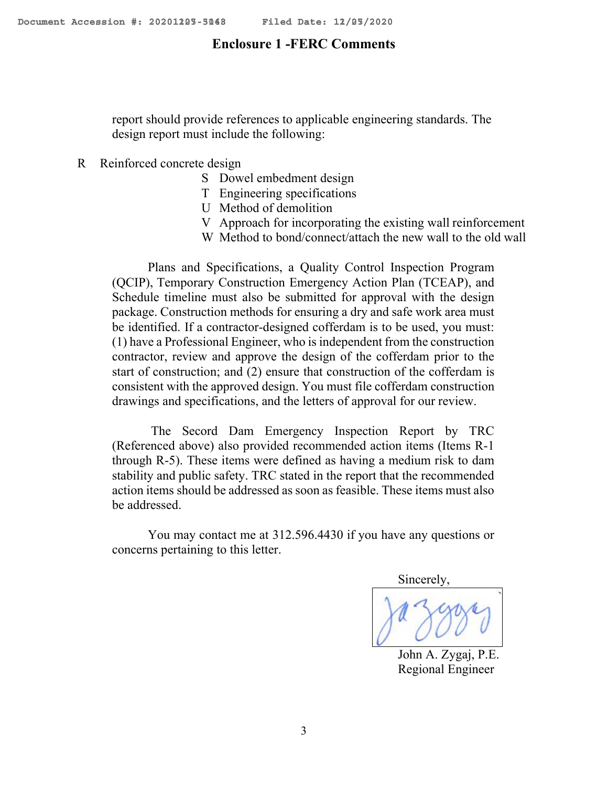### **Enclosure 1 -FERC Comments**

report should provide references to applicable engineering standards. The design report must include the following:

## R Reinforced concrete design

- S Dowel embedment design
- T Engineering specifications
- U Method of demolition
- V Approach for incorporating the existing wall reinforcement
- W Method to bond/connect/attach the new wall to the old wall

Plans and Specifications, a Quality Control Inspection Program (QCIP), Temporary Construction Emergency Action Plan (TCEAP), and Schedule timeline must also be submitted for approval with the design package. Construction methods for ensuring a dry and safe work area must be identified. If a contractor-designed cofferdam is to be used, you must: (1) have a Professional Engineer, who is independent from the construction contractor, review and approve the design of the cofferdam prior to the start of construction; and (2) ensure that construction of the cofferdam is consistent with the approved design. You must file cofferdam construction drawings and specifications, and the letters of approval for our review.

The Secord Dam Emergency Inspection Report by TRC (Referenced above) also provided recommended action items (Items R-1 through R-5). These items were defined as having a medium risk to dam stability and public safety. TRC stated in the report that the recommended action items should be addressed as soon as feasible. These items must also be addressed.

You may contact me at 312.596.4430 if you have any questions or concerns pertaining to this letter.

Sincerely,

John A. Zygaj, P.E. Regional Engineer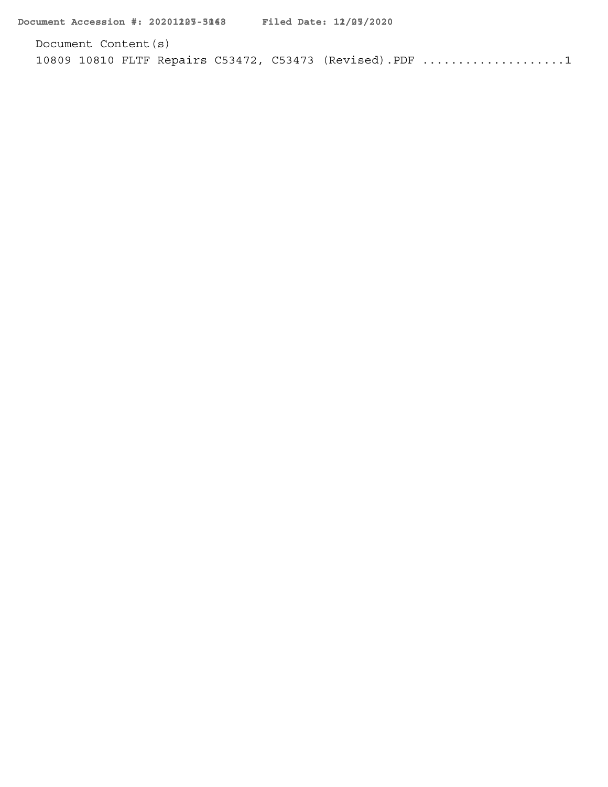Document Content(s) [10809 10810 FLTF Repairs C53472, C53473 \(Revised\).PDF](#page-4-0) ....................1